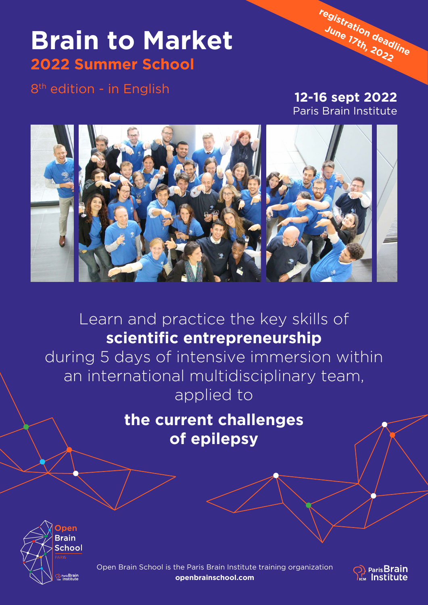## **Brain to Market 2022 Summer School**

8<sup>th</sup> edition - in English

**12-16 sept 2022** Paris Brain Institute

**[registration deadline](https://openbrainschool.com/programme/brain-to-market-summer-school/) [June 17th, 2022](https://openbrainschool.com/programme/brain-to-market-summer-school/)**



Learn and practice the key skills of **scientific entrepreneurship**

during 5 days of intensive immersion within an international multidisciplinary team, applied to

> **the current challenges of epilepsy**



Open Brain School is the Paris Brain Institute training organization **[openbrainschool.com](https://openbrainschool.com/en/)**

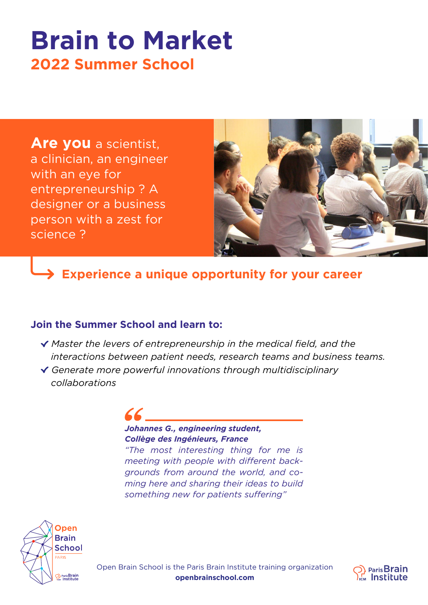# **Brain to Market 2022 Summer School**

**Are you** a scientist, a clinician, an engineer with an eye for entrepreneurship ? A designer or a business person with a zest for science ?



**Experience a unique opportunity for your career**

#### **Join the Summer School and learn to:**

- *Master the levers of entrepreneurship in the medical field, and the interactions between patient needs, research teams and business teams.*
- *Generate more powerful innovations through multidisciplinary collaborations*

### *Johannes G., engineering student, Collège des Ingénieurs, France*

*"The most interesting thing for me is meeting with people with different backgrounds from around the world, and coming here and sharing their ideas to build something new for patients suffering"*





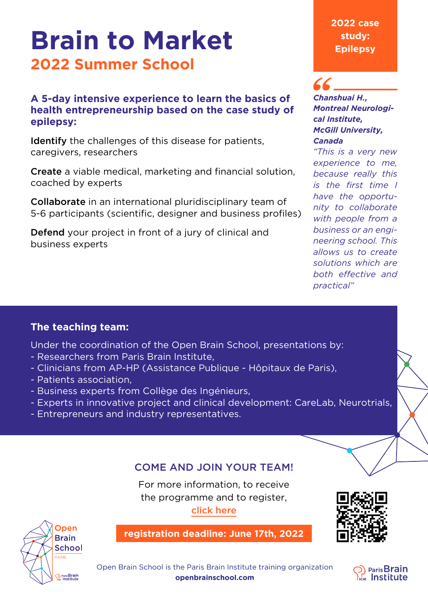# **Brain to Market 2022 Summer School**

#### **A 5-day intensive experience to learn the basics of health entrepreneurship based on the case study of epilepsy:**

Identify the challenges of this disease for patients, caregivers, researchers

Create a viable medical, marketing and financial solution, coached by experts

Collaborate in an international pluridisciplinary team of 5-6 participants (scientific, designer and business profiles)

Defend your project in front of a jury of clinical and business experts

#### **2022 case study: Epilepsy**

#### *Chanshuai H., Montreal Neurological Institute, McGill University, Canada*

*"This is a very new experience to me, because really this is the first time I have the opportunity to collaborate with people from a business or an engineering school. This allows us to create solutions which are both effective and practical"*

#### **The teaching team:**

Under the coordination of the Open Brain School, presentations by:

- Researchers from Paris Brain Institute,
- Clinicians from AP-HP (Assistance Publique Hôpitaux de Paris),
- Patients association,
- Business experts from Collège des Ingénieurs,
- Experts in innovative project and clinical development: CareLab, Neurotrials,
- Entrepreneurs and industry representatives.

### Come and join your team!

For more information, to receive the programme and to register, [click here](https://openbrainschool.com/programme/brain-to-market-summer-school/)



**[registration deadline: June 17th, 2022](https://openbrainschool.com/programme/brain-to-market-summer-school/)**



Open Brain School is the Paris Brain Institute training organization **[openbrainschool.com](https://openbrainschool.com/en/)**